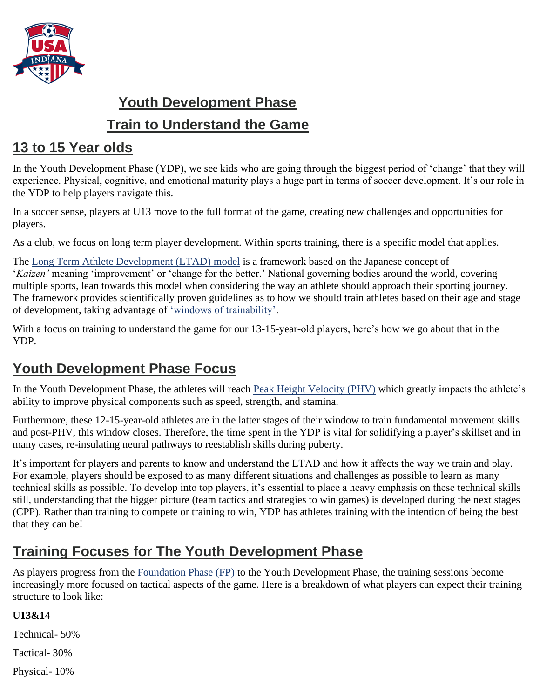

# **Youth Development Phase Train to Understand the Game**

### **13 to 15 Year olds**

In the Youth Development Phase (YDP), we see kids who are going through the biggest period of 'change' that they will experience. Physical, cognitive, and emotional maturity plays a huge part in terms of soccer development. It's our role in the YDP to help players navigate this.

In a soccer sense, players at U13 move to the full format of the game, creating new challenges and opportunities for players.

As a club, we focus on long term player development. Within sports training, there is a specific model that applies.

The [Long Term Athlete Development \(LTAD\) model](https://us.humankinetics.com/blogs/excerpt/long-term-athlete-development-follows-seven-stages) is a framework based on the Japanese concept of '*Kaizen'* meaning 'improvement' or 'change for the better.' National governing bodies around the world, covering multiple sports, lean towards this model when considering the way an athlete should approach their sporting journey. The framework provides scientifically proven guidelines as to how we should train athletes based on their age and stage of development, taking advantage of ['windows of trainability'.](https://www.admkids.com/page/show/990393-w-windows-of-trainability)

With a focus on training to understand the game for our 13-15-year-old players, here's how we go about that in the YDP.

### **Youth Development Phase Focus**

In the Youth Development Phase, the athletes will reach [Peak Height Velocity \(PHV\)](https://www.scienceforsport.com/peak-height-velocity/) which greatly impacts the athlete's ability to improve physical components such as speed, strength, and stamina.

Furthermore, these 12-15-year-old athletes are in the latter stages of their window to train fundamental movement skills and post-PHV, this window closes. Therefore, the time spent in the YDP is vital for solidifying a player's skillset and in many cases, re-insulating neural pathways to reestablish skills during puberty.

It's important for players and parents to know and understand the LTAD and how it affects the way we train and play. For example, players should be exposed to as many different situations and challenges as possible to learn as many technical skills as possible. To develop into top players, it's essential to place a heavy emphasis on these technical skills still, understanding that the bigger picture (team tactics and strategies to win games) is developed during the next stages (CPP). Rather than training to compete or training to win, YDP has athletes training with the intention of being the best that they can be!

## **Training Focuses for The Youth Development Phase**

As players progress from the [Foundation Phase \(FP\)](https://www.hotspurs-soccer.com/the-phase-model-foundation-phase-train-to-love-the-game/) to the Youth Development Phase, the training sessions become increasingly more focused on tactical aspects of the game. Here is a breakdown of what players can expect their training structure to look like:

#### **U13&14**

Technical- 50%

Tactical- 30%

Physical- 10%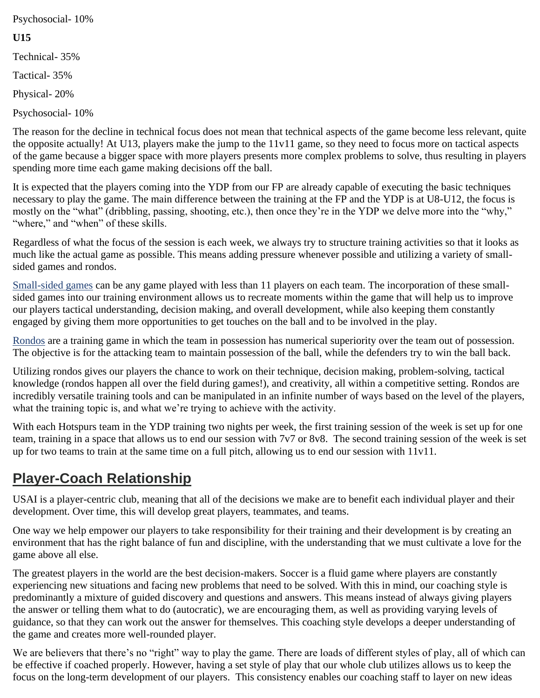Psychosocial- 10%

#### **U15**

Technical- 35%

Tactical- 35%

Physical- 20%

Psychosocial- 10%

The reason for the decline in technical focus does not mean that technical aspects of the game become less relevant, quite the opposite actually! At U13, players make the jump to the 11v11 game, so they need to focus more on tactical aspects of the game because a bigger space with more players presents more complex problems to solve, thus resulting in players spending more time each game making decisions off the ball.

It is expected that the players coming into the YDP from our FP are already capable of executing the basic techniques necessary to play the game. The main difference between the training at the FP and the YDP is at U8-U12, the focus is mostly on the "what" (dribbling, passing, shooting, etc.), then once they're in the YDP we delve more into the "why," "where," and "when" of these skills.

Regardless of what the focus of the session is each week, we always try to structure training activities so that it looks as much like the actual game as possible. This means adding pressure whenever possible and utilizing a variety of smallsided games and rondos.

[Small-sided games](https://www.ussoccer.com/stories/2017/08/five-things-to-know-how-smallsided-standards-will-change-youth-soccer) can be any game played with less than 11 players on each team. The incorporation of these smallsided games into our training environment allows us to recreate moments within the game that will help us to improve our players tactical understanding, decision making, and overall development, while also keeping them constantly engaged by giving them more opportunities to get touches on the ball and to be involved in the play.

[Rondos](http://cfile202.uf.daum.net/attach/227769355674CA9B0EC50A) are a training game in which the team in possession has numerical superiority over the team out of possession. The objective is for the attacking team to maintain possession of the ball, while the defenders try to win the ball back.

Utilizing rondos gives our players the chance to work on their technique, decision making, problem-solving, tactical knowledge (rondos happen all over the field during games!), and creativity, all within a competitive setting. Rondos are incredibly versatile training tools and can be manipulated in an infinite number of ways based on the level of the players, what the training topic is, and what we're trying to achieve with the activity.

With each Hotspurs team in the YDP training two nights per week, the first training session of the week is set up for one team, training in a space that allows us to end our session with 7v7 or 8v8. The second training session of the week is set up for two teams to train at the same time on a full pitch, allowing us to end our session with 11v11.

## **Player-Coach Relationship**

USAI is a player-centric club, meaning that all of the decisions we make are to benefit each individual player and their development. Over time, this will develop great players, teammates, and teams.

One way we help empower our players to take responsibility for their training and their development is by creating an environment that has the right balance of fun and discipline, with the understanding that we must cultivate a love for the game above all else.

The greatest players in the world are the best decision-makers. Soccer is a fluid game where players are constantly experiencing new situations and facing new problems that need to be solved. With this in mind, our coaching style is predominantly a mixture of guided discovery and questions and answers. This means instead of always giving players the answer or telling them what to do (autocratic), we are encouraging them, as well as providing varying levels of guidance, so that they can work out the answer for themselves. This coaching style develops a deeper understanding of the game and creates more well-rounded player.

We are believers that there's no "right" way to play the game. There are loads of different styles of play, all of which can be effective if coached properly. However, having a set style of play that our whole club utilizes allows us to keep the focus on the long-term development of our players. This consistency enables our coaching staff to layer on new ideas